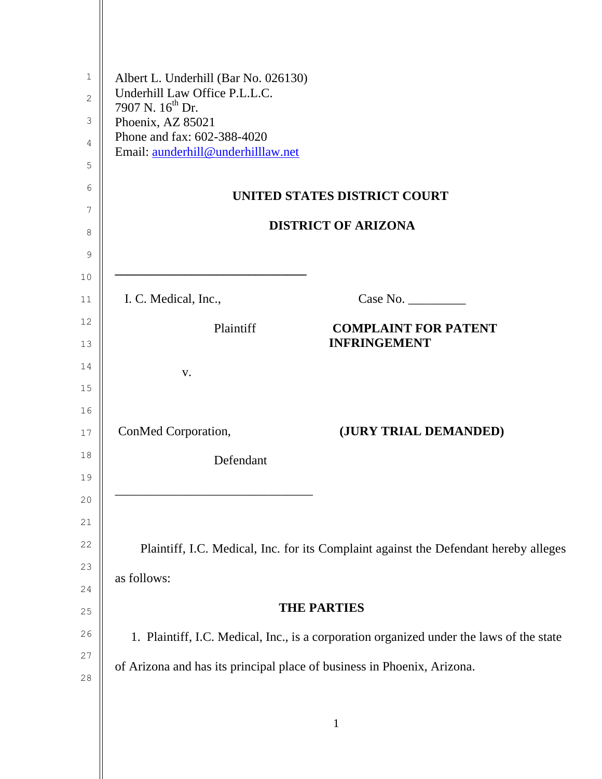| 1        | Albert L. Underhill (Bar No. 026130)                                                     |  |  |
|----------|------------------------------------------------------------------------------------------|--|--|
| 2        | Underhill Law Office P.L.L.C.<br>7907 N. 16 <sup>th</sup> Dr.                            |  |  |
| 3        | Phoenix, AZ 85021                                                                        |  |  |
| 4        | Phone and fax: 602-388-4020<br>Email: aunderhill@underhilllaw.net                        |  |  |
| 5        |                                                                                          |  |  |
| 6        | UNITED STATES DISTRICT COURT                                                             |  |  |
| 7        | <b>DISTRICT OF ARIZONA</b>                                                               |  |  |
| 8        |                                                                                          |  |  |
| 9        |                                                                                          |  |  |
| 10<br>11 | I. C. Medical, Inc.,                                                                     |  |  |
| 12       |                                                                                          |  |  |
| 13       | <b>COMPLAINT FOR PATENT</b><br>Plaintiff<br><b>INFRINGEMENT</b>                          |  |  |
| 14       | V.                                                                                       |  |  |
| 15       |                                                                                          |  |  |
| 16       |                                                                                          |  |  |
| 17       | ConMed Corporation,<br>(JURY TRIAL DEMANDED)                                             |  |  |
| 18       | Defendant                                                                                |  |  |
| 19       |                                                                                          |  |  |
| 20       |                                                                                          |  |  |
| 21       |                                                                                          |  |  |
| 22       | Plaintiff, I.C. Medical, Inc. for its Complaint against the Defendant hereby alleges     |  |  |
| 23       | as follows:                                                                              |  |  |
| 24<br>25 | <b>THE PARTIES</b>                                                                       |  |  |
| 26       |                                                                                          |  |  |
| 27       | 1. Plaintiff, I.C. Medical, Inc., is a corporation organized under the laws of the state |  |  |
| 28       | of Arizona and has its principal place of business in Phoenix, Arizona.                  |  |  |
|          |                                                                                          |  |  |
|          |                                                                                          |  |  |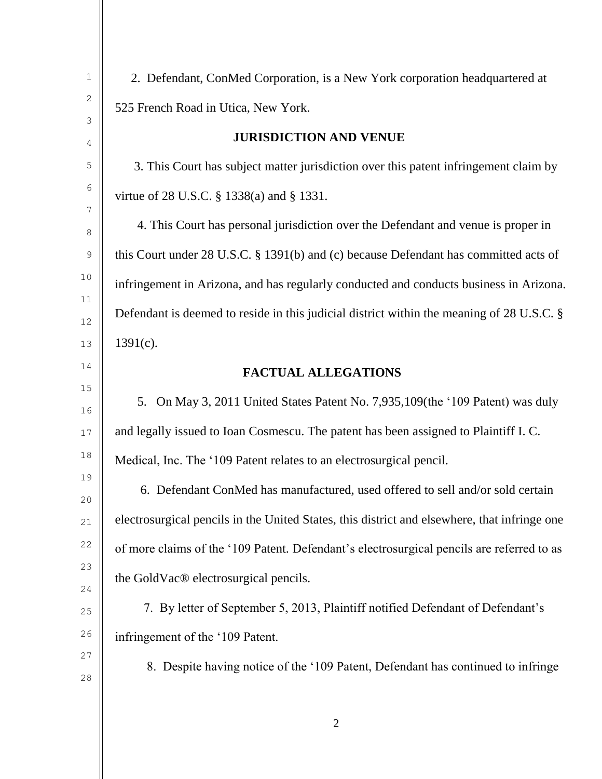| $\mathbf 1$         | 2. Defendant, ConMed Corporation, is a New York corporation headquartered at                 |  |  |
|---------------------|----------------------------------------------------------------------------------------------|--|--|
| $\sqrt{2}$          | 525 French Road in Utica, New York.                                                          |  |  |
| $\mathfrak{Z}$<br>4 | <b>JURISDICTION AND VENUE</b>                                                                |  |  |
| $\mathsf S$         | 3. This Court has subject matter jurisdiction over this patent infringement claim by         |  |  |
| $\epsilon$          | virtue of 28 U.S.C. § 1338(a) and § 1331.                                                    |  |  |
| 7<br>$\,8\,$        | 4. This Court has personal jurisdiction over the Defendant and venue is proper in            |  |  |
| $\mathsf 9$         | this Court under 28 U.S.C. § 1391(b) and (c) because Defendant has committed acts of         |  |  |
| 10                  | infringement in Arizona, and has regularly conducted and conducts business in Arizona.       |  |  |
| 11<br>$12$          | Defendant is deemed to reside in this judicial district within the meaning of 28 U.S.C. §    |  |  |
| 13                  | $1391(c)$ .                                                                                  |  |  |
| 14                  | <b>FACTUAL ALLEGATIONS</b>                                                                   |  |  |
| 15<br>16            | 5. On May 3, 2011 United States Patent No. 7,935,109(the '109 Patent) was duly               |  |  |
| $17$                | and legally issued to Ioan Cosmescu. The patent has been assigned to Plaintiff I.C.          |  |  |
| 18                  | Medical, Inc. The '109 Patent relates to an electrosurgical pencil.                          |  |  |
| 19<br>20            | 6. Defendant ConMed has manufactured, used offered to sell and/or sold certain               |  |  |
| 21                  | electrosurgical pencils in the United States, this district and elsewhere, that infringe one |  |  |
| 22                  | of more claims of the '109 Patent. Defendant's electrosurgical pencils are referred to as    |  |  |
| 23<br>24            | the GoldVac® electrosurgical pencils.                                                        |  |  |
| 25                  | 7. By letter of September 5, 2013, Plaintiff notified Defendant of Defendant's               |  |  |
| 26                  | infringement of the '109 Patent.                                                             |  |  |
| 27                  | 8. Despite having notice of the '109 Patent, Defendant has continued to infringe             |  |  |
| 28                  |                                                                                              |  |  |
|                     |                                                                                              |  |  |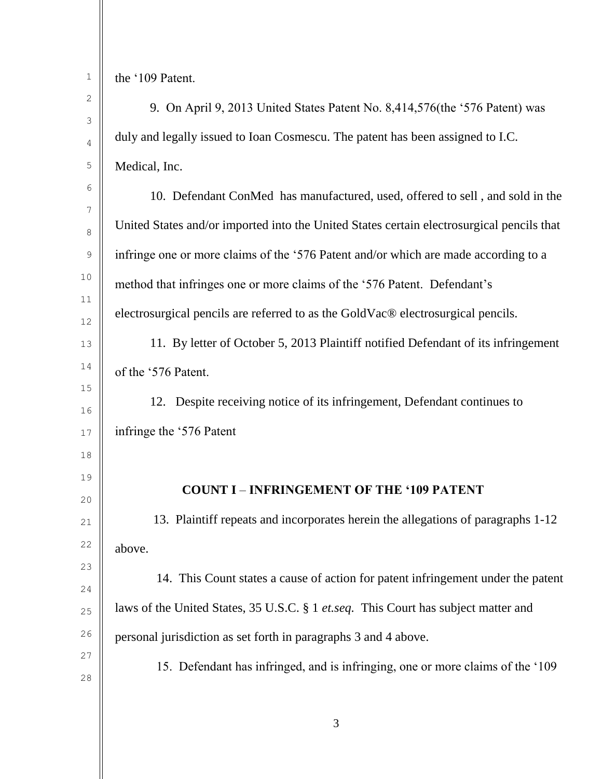| $\mathbf 1$      | the '109 Patent.                                                                          |
|------------------|-------------------------------------------------------------------------------------------|
| 2                | 9. On April 9, 2013 United States Patent No. 8,414,576(the '576 Patent) was               |
| 3<br>4           | duly and legally issued to Ioan Cosmescu. The patent has been assigned to I.C.            |
| 5                | Medical, Inc.                                                                             |
| 6                |                                                                                           |
| $\boldsymbol{7}$ | 10. Defendant ConMed has manufactured, used, offered to sell, and sold in the             |
| 8                | United States and/or imported into the United States certain electrosurgical pencils that |
| 9                | infringe one or more claims of the '576 Patent and/or which are made according to a       |
| 10               | method that infringes one or more claims of the '576 Patent. Defendant's                  |
| 11               | electrosurgical pencils are referred to as the GoldVac® electrosurgical pencils.          |
| $12$             |                                                                                           |
| 13               | 11. By letter of October 5, 2013 Plaintiff notified Defendant of its infringement         |
| 14               | of the '576 Patent.                                                                       |
| 15               | 12. Despite receiving notice of its infringement, Defendant continues to                  |
| 16               | infringe the '576 Patent                                                                  |
| $17$             |                                                                                           |
| 18               |                                                                                           |
| 19               | <b>COUNT I - INFRINGEMENT OF THE '109 PATENT</b>                                          |
| 20<br>21         | 13. Plaintiff repeats and incorporates herein the allegations of paragraphs 1-12          |
| 22               |                                                                                           |
|                  | above.                                                                                    |
| 23<br>24         | 14. This Count states a cause of action for patent infringement under the patent          |
| 25               | laws of the United States, 35 U.S.C. § 1 et.seq. This Court has subject matter and        |
| 26               | personal jurisdiction as set forth in paragraphs 3 and 4 above.                           |
| 27               |                                                                                           |
| 28               | 15. Defendant has infringed, and is infringing, one or more claims of the '109            |
|                  |                                                                                           |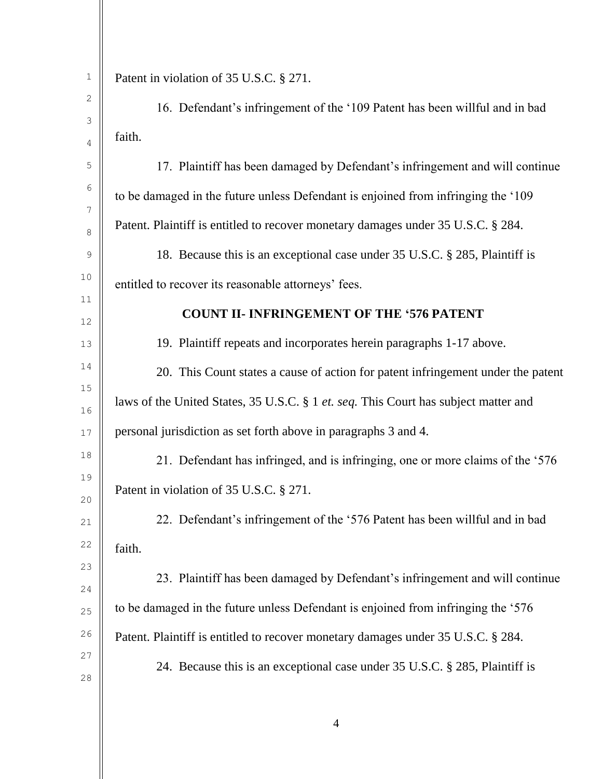| 1                | Patent in violation of 35 U.S.C. § 271.                                             |  |
|------------------|-------------------------------------------------------------------------------------|--|
| 2                | 16. Defendant's infringement of the '109 Patent has been willful and in bad         |  |
| 3<br>4           | faith.                                                                              |  |
| 5                | 17. Plaintiff has been damaged by Defendant's infringement and will continue        |  |
| 6                | to be damaged in the future unless Defendant is enjoined from infringing the '109   |  |
| 7                | Patent. Plaintiff is entitled to recover monetary damages under 35 U.S.C. § 284.    |  |
| 8<br>$\mathsf 9$ | 18. Because this is an exceptional case under 35 U.S.C. § 285, Plaintiff is         |  |
| 10               | entitled to recover its reasonable attorneys' fees.                                 |  |
| 11               |                                                                                     |  |
| 12               | <b>COUNT II- INFRINGEMENT OF THE '576 PATENT</b>                                    |  |
| 13               | 19. Plaintiff repeats and incorporates herein paragraphs 1-17 above.                |  |
| 14               | 20. This Count states a cause of action for patent infringement under the patent    |  |
| 15<br>16         | laws of the United States, 35 U.S.C. § 1 et. seq. This Court has subject matter and |  |
| $17$             | personal jurisdiction as set forth above in paragraphs 3 and 4.                     |  |
| 18               | 21. Defendant has infringed, and is infringing, one or more claims of the '576      |  |
| 19               | Patent in violation of 35 U.S.C. § 271.                                             |  |
| 20<br>21         | 22. Defendant's infringement of the '576 Patent has been willful and in bad         |  |
| 22               | faith.                                                                              |  |
| 23               |                                                                                     |  |
| 24               | 23. Plaintiff has been damaged by Defendant's infringement and will continue        |  |
| 25               | to be damaged in the future unless Defendant is enjoined from infringing the '576   |  |
| 26               | Patent. Plaintiff is entitled to recover monetary damages under 35 U.S.C. § 284.    |  |
| 27               | 24. Because this is an exceptional case under 35 U.S.C. § 285, Plaintiff is         |  |
| 28               |                                                                                     |  |
|                  |                                                                                     |  |

4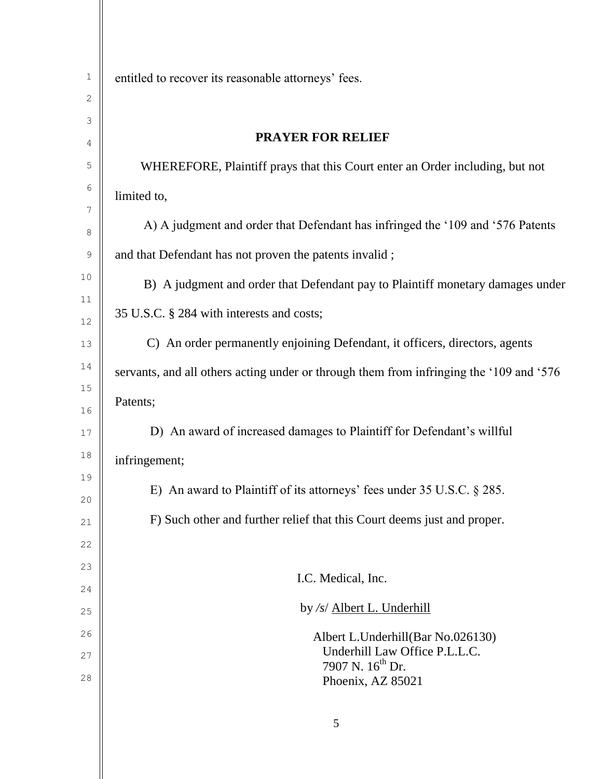| 1           | entitled to recover its reasonable attorneys' fees.                                     |  |  |
|-------------|-----------------------------------------------------------------------------------------|--|--|
| 2           |                                                                                         |  |  |
| 3           | <b>PRAYER FOR RELIEF</b>                                                                |  |  |
| 4           |                                                                                         |  |  |
| 5           | WHEREFORE, Plaintiff prays that this Court enter an Order including, but not            |  |  |
| 6<br>7      | limited to,                                                                             |  |  |
| 8           | A) A judgment and order that Defendant has infringed the '109 and '576 Patents          |  |  |
| $\mathsf 9$ | and that Defendant has not proven the patents invalid;                                  |  |  |
| 10          | B) A judgment and order that Defendant pay to Plaintiff monetary damages under          |  |  |
| 11<br>12    | 35 U.S.C. § 284 with interests and costs;                                               |  |  |
| 13          | C) An order permanently enjoining Defendant, it officers, directors, agents             |  |  |
| 14          | servants, and all others acting under or through them from infringing the '109 and '576 |  |  |
| 15          | Patents;                                                                                |  |  |
| 16          |                                                                                         |  |  |
| $17$        | D) An award of increased damages to Plaintiff for Defendant's willful                   |  |  |
| 18          | infringement;                                                                           |  |  |
| 19<br>20    | E) An award to Plaintiff of its attorneys' fees under $35 \text{ U.S.C.} \$ $285$ .     |  |  |
| 21          | F) Such other and further relief that this Court deems just and proper.                 |  |  |
| 22          |                                                                                         |  |  |
| 23          |                                                                                         |  |  |
| 24          | I.C. Medical, Inc.                                                                      |  |  |
| 25          | by /s/ Albert L. Underhill                                                              |  |  |
| 26          | Albert L.Underhill(Bar No.026130)                                                       |  |  |
| 27          | Underhill Law Office P.L.L.C.<br>7907 N. 16 <sup>th</sup> Dr.                           |  |  |
| 28          | Phoenix, AZ 85021                                                                       |  |  |
|             |                                                                                         |  |  |

5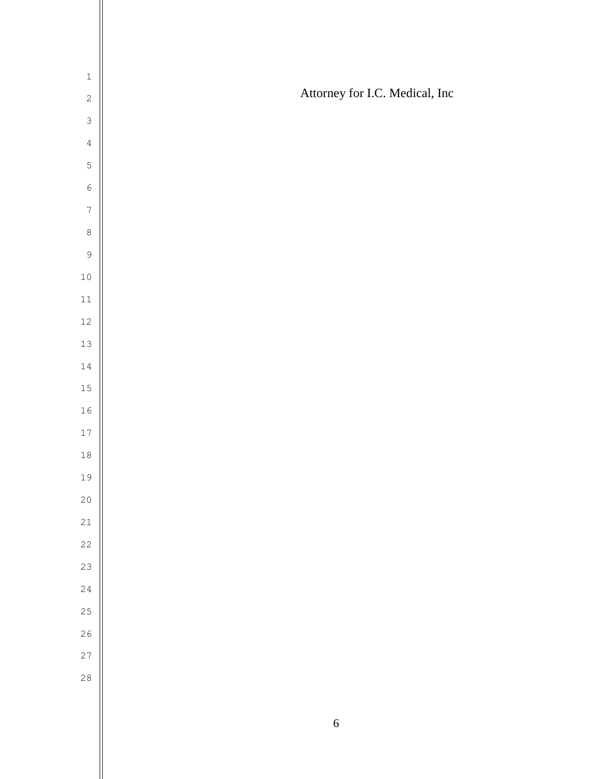| $\mathbf 1$    |                                |
|----------------|--------------------------------|
| $\overline{c}$ | Attorney for I.C. Medical, Inc |
| $\mathfrak{Z}$ |                                |
| $\overline{4}$ |                                |
| $\overline{5}$ |                                |
| $\overline{6}$ |                                |
| $\overline{7}$ |                                |
| 8              |                                |
| $\mathcal{G}$  |                                |
| $10$           |                                |
| $1\,1$         |                                |
| $12\,$         |                                |
| $13$           |                                |
| $1\,4$         |                                |
| $15\,$         |                                |
| $16$           |                                |
| $17\,$         |                                |
| $1\,8$         |                                |
| 19             |                                |
| $2\,0$         |                                |
| 21             |                                |
| 22             |                                |
| 23             |                                |
| 24             |                                |
| 25             |                                |
| 26             |                                |
| 27             |                                |
| $28$           |                                |
|                |                                |

Ш